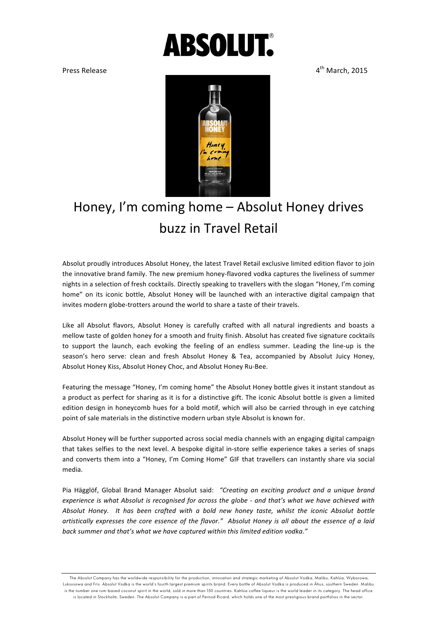## **ABSOLUT.**

Press Release **and Community Community Community Community Community Community Community Community Community Community Community Community Community Community Community Community Community Community Community Community Com** 



## Honey, I'm coming home - Absolut Honey drives buzz in Travel Retail

Absolut proudly introduces Absolut Honey, the latest Travel Retail exclusive limited edition flavor to join the innovative brand family. The new premium honey-flavored vodka captures the liveliness of summer nights in a selection of fresh cocktails. Directly speaking to travellers with the slogan "Honey, I'm coming home" on its iconic bottle, Absolut Honey will be launched with an interactive digital campaign that invites modern globe-trotters around the world to share a taste of their travels.

Like all Absolut flavors, Absolut Honey is carefully crafted with all natural ingredients and boasts a mellow taste of golden honey for a smooth and fruity finish. Absolut has created five signature cocktails to support the launch, each evoking the feeling of an endless summer. Leading the line-up is the season's hero serve: clean and fresh Absolut Honey & Tea, accompanied by Absolut Juicy Honey, Absolut Honey Kiss, Absolut Honey Choc, and Absolut Honey Ru-Bee.

Featuring the message "Honey, I'm coming home" the Absolut Honey bottle gives it instant standout as a product as perfect for sharing as it is for a distinctive gift. The iconic Absolut bottle is given a limited edition design in honeycomb hues for a bold motif, which will also be carried through in eye catching point of sale materials in the distinctive modern urban style Absolut is known for.

Absolut Honey will be further supported across social media channels with an engaging digital campaign that takes selfies to the next level. A bespoke digital in-store selfie experience takes a series of snaps and converts them into a "Honey, I'm Coming Home" GIF that travellers can instantly share via social media.

Pia Hägglöf, Global Brand Manager Absolut said: "Creating an exciting product and a unique brand *experience is what Absolut is recognised for across the globe - and that's what we have achieved with* Absolut Honey. It has been crafted with a bold new honey taste, whilst the iconic Absolut bottle artistically expresses the core essence of the flavor." Absolut Honey is all about the essence of a laid back summer and that's what we have captured within this limited edition vodka."

The Absolut Company has the worldwide responsibility for the production, innovation and strategic marketing of Absolut Vodka, Malibu, Kahlúa, Wyborowa, Luksusowa and Frïs. Absolut Vodka is the world's fourth largest premium spirits brand. Every bottle of Absolut Vodka is produced in Åhus, southern Sweden. Malibu is the number one rum-based coconut spirit in the world, sold in more than 150 countries. Kahlúa coffee liqueur is the world leader in its category. The head office is located in Stockholm, Sweden. The Absolut Company is a part of Pernod Ricard, which holds one of the most prestigious brand portfolios in the sector.